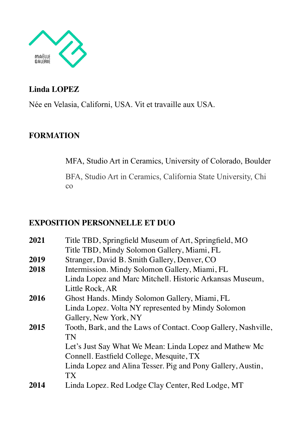

### **Linda LOPEZ**

Née en Velasia, Californi, USA. Vit et travaille aux USA.

### **FORMATION**

MFA, Studio Art in Ceramics, University of Colorado, Boulder

 BFA, Studio Art in Ceramics, California State University, Chi co

#### **EXPOSITION PERSONNELLE ET DUO**

| 2021 | Title TBD, Springfield Museum of Art, Springfield, MO          |
|------|----------------------------------------------------------------|
|      | Title TBD, Mindy Solomon Gallery, Miami, FL                    |
| 2019 | Stranger, David B. Smith Gallery, Denver, CO                   |
| 2018 | Intermission. Mindy Solomon Gallery, Miami, FL                 |
|      | Linda Lopez and Marc Mitchell. Historic Arkansas Museum,       |
|      | Little Rock, AR                                                |
| 2016 | Ghost Hands. Mindy Solomon Gallery, Miami, FL                  |
|      | Linda Lopez. Volta NY represented by Mindy Solomon             |
|      | Gallery, New York, NY                                          |
| 2015 | Tooth, Bark, and the Laws of Contact. Coop Gallery, Nashville, |
|      | <b>TN</b>                                                      |
|      | Let's Just Say What We Mean: Linda Lopez and Mathew Mc         |
|      | Connell. Eastfield College, Mesquite, TX                       |
|      | Linda Lopez and Alina Tesser. Pig and Pony Gallery, Austin,    |
|      | TX <sup>-</sup>                                                |
| 2014 | Linda Lopez. Red Lodge Clay Center, Red Lodge, MT              |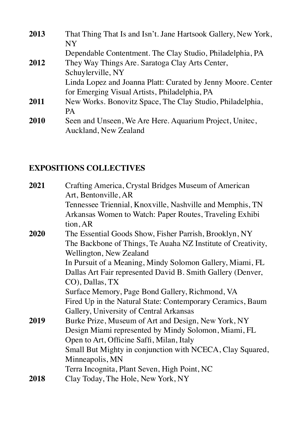| 2013 | That Thing That Is and Isn't. Jane Hartsook Gallery, New York, |
|------|----------------------------------------------------------------|
|      | <b>NY</b>                                                      |
|      | Dependable Contentment. The Clay Studio, Philadelphia, PA      |
| 2012 | They Way Things Are. Saratoga Clay Arts Center,                |
|      | Schuylerville, NY                                              |
|      | Linda Lopez and Joanna Platt: Curated by Jenny Moore. Center   |
|      | for Emerging Visual Artists, Philadelphia, PA                  |
| 2011 | New Works. Bonovitz Space, The Clay Studio, Philadelphia,      |
|      | <b>PA</b>                                                      |
| 2010 | Seen and Unseen, We Are Here. Aquarium Project, Unitec,        |
|      | Auckland, New Zealand                                          |

## **EXPOSITIONS COLLECTIVES**

| 2021 | Crafting America, Crystal Bridges Museum of American         |
|------|--------------------------------------------------------------|
|      | Art, Bentonville, AR                                         |
|      | Tennessee Triennial, Knoxville, Nashville and Memphis, TN    |
|      | Arkansas Women to Watch: Paper Routes, Traveling Exhibi      |
|      | tion, AR                                                     |
| 2020 | The Essential Goods Show, Fisher Parrish, Brooklyn, NY       |
|      | The Backbone of Things, Te Auaha NZ Institute of Creativity, |
|      | Wellington, New Zealand                                      |
|      | In Pursuit of a Meaning, Mindy Solomon Gallery, Miami, FL    |
|      | Dallas Art Fair represented David B. Smith Gallery (Denver,  |
|      | CO), Dallas, TX                                              |
|      | Surface Memory, Page Bond Gallery, Richmond, VA              |
|      | Fired Up in the Natural State: Contemporary Ceramics, Baum   |
|      | Gallery, University of Central Arkansas                      |
| 2019 | Burke Prize, Museum of Art and Design, New York, NY          |
|      | Design Miami represented by Mindy Solomon, Miami, FL         |
|      | Open to Art, Officine Saffi, Milan, Italy                    |
|      | Small But Mighty in conjunction with NCECA, Clay Squared,    |
|      | Minneapolis, MN                                              |
|      | Terra Incognita, Plant Seven, High Point, NC                 |
| 2018 | Clay Today, The Hole, New York, NY                           |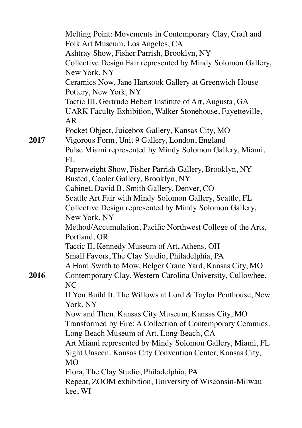|      | Melting Point: Movements in Contemporary Clay, Craft and     |
|------|--------------------------------------------------------------|
|      | Folk Art Museum, Los Angeles, CA                             |
|      | Ashtray Show, Fisher Parrish, Brooklyn, NY                   |
|      | Collective Design Fair represented by Mindy Solomon Gallery, |
|      | New York, NY                                                 |
|      | Ceramics Now, Jane Hartsook Gallery at Greenwich House       |
|      | Pottery, New York, NY                                        |
|      | Tactic III, Gertrude Hebert Institute of Art, Augusta, GA    |
|      | UARK Faculty Exhibition, Walker Stonehouse, Fayetteville,    |
|      | <b>AR</b>                                                    |
|      | Pocket Object, Juicebox Gallery, Kansas City, MO             |
| 2017 | Vigorous Form, Unit 9 Gallery, London, England               |
|      | Pulse Miami represented by Mindy Solomon Gallery, Miami,     |
|      | FL                                                           |
|      | Paperweight Show, Fisher Parrish Gallery, Brooklyn, NY       |
|      | Busted, Cooler Gallery, Brooklyn, NY                         |
|      | Cabinet, David B. Smith Gallery, Denver, CO                  |
|      | Seattle Art Fair with Mindy Solomon Gallery, Seattle, FL     |
|      | Collective Design represented by Mindy Solomon Gallery,      |
|      | New York, NY                                                 |
|      | Method/Accumulation, Pacific Northwest College of the Arts,  |
|      | Portland, OR                                                 |
|      | Tactic II, Kennedy Museum of Art, Athens, OH                 |
|      | Small Favors, The Clay Studio, Philadelphia, PA              |
|      | A Hard Swath to Mow, Belger Crane Yard, Kansas City, MO      |
| 2016 | Contemporary Clay. Western Carolina University, Cullowhee,   |
|      | NC                                                           |
|      | If You Build It. The Willows at Lord & Taylor Penthouse, New |
|      | York, NY                                                     |
|      | Now and Then. Kansas City Museum, Kansas City, MO            |
|      | Transformed by Fire: A Collection of Contemporary Ceramics.  |
|      | Long Beach Museum of Art, Long Beach, CA                     |
|      | Art Miami represented by Mindy Solomon Gallery, Miami, FL    |
|      | Sight Unseen. Kansas City Convention Center, Kansas City,    |
|      | <b>MO</b>                                                    |
|      | Flora, The Clay Studio, Philadelphia, PA                     |
|      | Repeat, ZOOM exhibition, University of Wisconsin-Milwau      |
|      | kee, WI                                                      |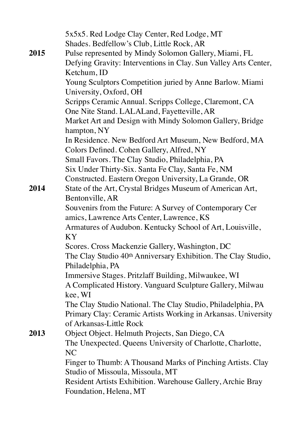|      | 5x5x5. Red Lodge Clay Center, Red Lodge, MT                     |
|------|-----------------------------------------------------------------|
|      | Shades. Bedfellow's Club, Little Rock, AR                       |
| 2015 | Pulse represented by Mindy Solomon Gallery, Miami, FL           |
|      | Defying Gravity: Interventions in Clay. Sun Valley Arts Center, |
|      | Ketchum, ID                                                     |
|      | Young Sculptors Competition juried by Anne Barlow. Miami        |
|      | University, Oxford, OH                                          |
|      | Scripps Ceramic Annual. Scripps College, Claremont, CA          |
|      | One Nite Stand. LALALand, Fayetteville, AR                      |
|      | Market Art and Design with Mindy Solomon Gallery, Bridge        |
|      | hampton, NY                                                     |
|      | In Residence. New Bedford Art Museum, New Bedford, MA           |
|      | Colors Defined. Cohen Gallery, Alfred, NY                       |
|      | Small Favors. The Clay Studio, Philadelphia, PA                 |
|      | Six Under Thirty-Six. Santa Fe Clay, Santa Fe, NM               |
|      | Constructed. Eastern Oregon University, La Grande, OR           |
| 2014 | State of the Art, Crystal Bridges Museum of American Art,       |
|      | Bentonville, AR                                                 |
|      | Souvenirs from the Future: A Survey of Contemporary Cer         |
|      | amics, Lawrence Arts Center, Lawrence, KS                       |
|      | Armatures of Audubon. Kentucky School of Art, Louisville,       |
|      | KY <sup></sup>                                                  |
|      | Scores. Cross Mackenzie Gallery, Washington, DC                 |
|      | The Clay Studio 40th Anniversary Exhibition. The Clay Studio,   |
|      | Philadelphia, PA                                                |
|      | Immersive Stages. Pritzlaff Building, Milwaukee, WI             |
|      | A Complicated History. Vanguard Sculpture Gallery, Milwau       |
|      | kee, WI                                                         |
|      | The Clay Studio National. The Clay Studio, Philadelphia, PA     |
|      | Primary Clay: Ceramic Artists Working in Arkansas. University   |
|      | of Arkansas-Little Rock                                         |
| 2013 | Object Object. Helmuth Projects, San Diego, CA                  |
|      | The Unexpected. Queens University of Charlotte, Charlotte,      |
|      | NC                                                              |
|      | Finger to Thumb: A Thousand Marks of Pinching Artists. Clay     |
|      | Studio of Missoula, Missoula, MT                                |
|      | Resident Artists Exhibition. Warehouse Gallery, Archie Bray     |
|      | Foundation, Helena, MT                                          |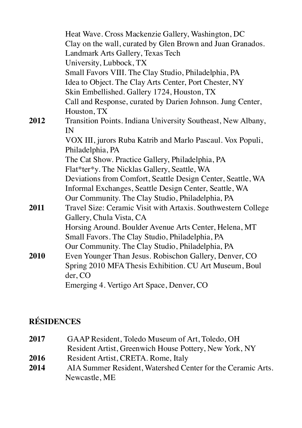|      | Heat Wave. Cross Mackenzie Gallery, Washington, DC<br>Clay on the wall, curated by Glen Brown and Juan Granados. |
|------|------------------------------------------------------------------------------------------------------------------|
|      | Landmark Arts Gallery, Texas Tech                                                                                |
|      | University, Lubbock, TX                                                                                          |
|      | Small Favors VIII. The Clay Studio, Philadelphia, PA                                                             |
|      | Idea to Object. The Clay Arts Center, Port Chester, NY                                                           |
|      | Skin Embellished. Gallery 1724, Houston, TX                                                                      |
|      | Call and Response, curated by Darien Johnson. Jung Center,                                                       |
|      | Houston, TX                                                                                                      |
| 2012 | Transition Points. Indiana University Southeast, New Albany,                                                     |
|      | IN                                                                                                               |
|      | VOX III, jurors Ruba Katrib and Marlo Pascaul. Vox Populi,                                                       |
|      | Philadelphia, PA                                                                                                 |
|      | The Cat Show. Practice Gallery, Philadelphia, PA                                                                 |
|      | Flat*ter*y. The Nicklas Gallery, Seattle, WA                                                                     |
|      | Deviations from Comfort, Seattle Design Center, Seattle, WA                                                      |
|      | Informal Exchanges, Seattle Design Center, Seattle, WA                                                           |
|      | Our Community. The Clay Studio, Philadelphia, PA                                                                 |
| 2011 | Travel Size: Ceramic Visit with Artaxis. Southwestern College                                                    |
|      | Gallery, Chula Vista, CA                                                                                         |
|      | Horsing Around. Boulder Avenue Arts Center, Helena, MT                                                           |
|      | Small Favors. The Clay Studio, Philadelphia, PA                                                                  |
|      | Our Community. The Clay Studio, Philadelphia, PA                                                                 |
| 2010 | Even Younger Than Jesus. Robischon Gallery, Denver, CO                                                           |
|      | Spring 2010 MFA Thesis Exhibition. CU Art Museum, Boul                                                           |
|      | der, CO                                                                                                          |
|      | Emerging 4. Vertigo Art Space, Denver, CO                                                                        |

## **RÉSIDENCES**

| 2017 | GAAP Resident, Toledo Museum of Art, Toledo, OH             |
|------|-------------------------------------------------------------|
|      | Resident Artist, Greenwich House Pottery, New York, NY      |
| 2016 | Resident Artist, CRETA. Rome, Italy                         |
| 2014 | AIA Summer Resident, Watershed Center for the Ceramic Arts. |
|      | Newcastle, ME                                               |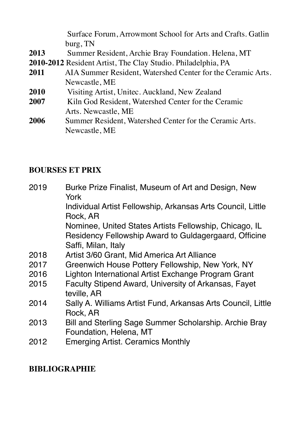| burg, TN<br>2013<br>Summer Resident, Archie Bray Foundation. Helena, MT | Surface Forum, Arrowmont School for Arts and Crafts. Gatlin |
|-------------------------------------------------------------------------|-------------------------------------------------------------|
|                                                                         |                                                             |
|                                                                         |                                                             |
| 2010-2012 Resident Artist, The Clay Studio. Philadelphia, PA            |                                                             |
| 2011<br>AIA Summer Resident, Watershed Center for the Ceramic Arts.     |                                                             |
| Newcastle, ME                                                           |                                                             |
| <b>2010</b><br>Visiting Artist, Unitec. Auckland, New Zealand           |                                                             |
| 2007<br>Kiln God Resident, Watershed Center for the Ceramic             |                                                             |
| Arts. Newcastle, ME                                                     |                                                             |
| <b>2006</b><br>Summer Resident, Watershed Center for the Ceramic Arts.  |                                                             |
| Newcastle, ME                                                           |                                                             |

## **BOURSES ET PRIX**

| 2019 | Burke Prize Finalist, Museum of Art and Design, New<br>York                                                                            |
|------|----------------------------------------------------------------------------------------------------------------------------------------|
|      | Individual Artist Fellowship, Arkansas Arts Council, Little<br>Rock, AR                                                                |
|      | Nominee, United States Artists Fellowship, Chicago, IL<br>Residency Fellowship Award to Guldagergaard, Officine<br>Saffi, Milan, Italy |
| 2018 |                                                                                                                                        |
|      | Artist 3/60 Grant, Mid America Art Alliance                                                                                            |
| 2017 | Greenwich House Pottery Fellowship, New York, NY                                                                                       |
| 2016 | Lighton International Artist Exchange Program Grant                                                                                    |
| 2015 | <b>Faculty Stipend Award, University of Arkansas, Fayet</b><br>teville, AR                                                             |
| 2014 | Sally A. Williams Artist Fund, Arkansas Arts Council, Little<br>Rock, AR                                                               |
| 2013 | Bill and Sterling Sage Summer Scholarship. Archie Bray<br>Foundation, Helena, MT                                                       |
| 2012 | <b>Emerging Artist. Ceramics Monthly</b>                                                                                               |

## **BIBLIOGRAPHIE**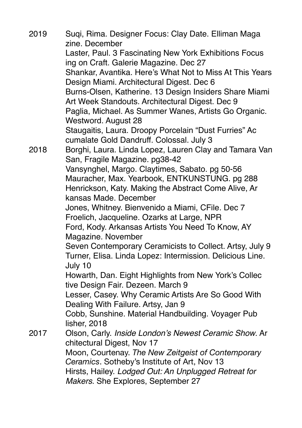2019 Suqi, Rima. Designer Focus: Clay Date. Elliman Maga zine. December Laster, Paul. 3 Fascinating New York Exhibitions Focus ing on Craft. Galerie Magazine. Dec 27 Shankar, Avantika. Here's What Not to Miss At This Years Design Miami. Architectural Digest. Dec 6 Burns-Olsen, Katherine. 13 Design Insiders Share Miami Art Week Standouts. Architectural Digest. Dec 9 Paglia, Michael. As Summer Wanes, Artists Go Organic. Westword. August 28 Staugaitis, Laura. Droopy Porcelain "Dust Furries" Ac cumalate Gold Dandruff. Colossal. July 3 2018 Borghi, Laura. Linda Lopez, Lauren Clay and Tamara Van San, Fragile Magazine. pg38-42 Vansynghel, Margo. Claytimes, Sabato. pg 50-56 Mauracher, Max. Yearbook, ENTKUNSTUNG. pg 288 Henrickson, Katy. Making the Abstract Come Alive, Ar kansas Made. December Jones, Whitney. Bienvenido a Miami, CFile. Dec 7 Froelich, Jacqueline. Ozarks at Large, NPR Ford, Kody. Arkansas Artists You Need To Know, AY Magazine. November Seven Contemporary Ceramicists to Collect. Artsy, July 9 Turner, Elisa. Linda Lopez: Intermission. Delicious Line. July 10 Howarth, Dan. Eight Highlights from New York's Collec tive Design Fair. Dezeen. March 9 Lesser, Casey. Why Ceramic Artists Are So Good With Dealing With Failure. Artsy, Jan 9 Cobb, Sunshine. Material Handbuilding. Voyager Pub lisher, 2018 2017 Olson, Carly. *Inside London's Newest Ceramic Show*. Ar chitectural Digest, Nov 17 Moon, Courtenay, The New Zeitgeist of Contemporary  *Ceramics*. Sotheby's Institute of Art, Nov 13 Hirsts, Hailey. *Lodged Out: An Unplugged Retreat for Makers*. She Explores, September 27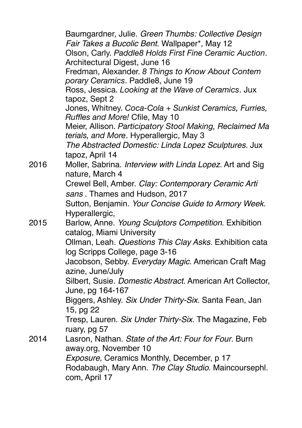Baumgardner, Julie. *Green Thumbs: Collective Design Fair Takes a Bucolic Bent*. Wallpaper\*, May 12 Olson, Carly. *Paddle8 Holds First Fine Ceramic Auction*. Architectural Digest, June 16 Fredman, Alexander. 8 Things to Know About Contem  *porary Ceramics*. Paddle8, June 19 Ross, Jessica. *Looking at the Wave of Ceramics*. Jux tapoz, Sept 2 Jones, Whitney. *Coca-Cola + Sunkist Ceramics, Furries, Ruffles and More!* Cfile, May 10 Meier, Allison. *Participatory Stool Making, Reclaimed Ma terials, and More*. Hyperallergic, May 3 *The Abstracted Domestic: Linda Lopez Sculptures.* Jux tapoz, April 14 2016 Moller, Sabrina. *Interview with Linda Lopez*. Art and Sig nature, March 4 Crewel Bell, Amber. *Clay: Contemporary Ceramic Arti sans* . Thames and Hudson, 2017 Sutton, Benjamin. *Your Concise Guide to Armory Week*. Hyperallergic, 2015 Barlow, Anne. *Young Sculptors Competition*. Exhibition catalog, Miami University Ollman, Leah. *Questions This Clay Asks.* Exhibition cata log Scripps College, page 3-16 Jacobson, Sebby. *Everyday Magic*. American Craft Mag azine, June/July Silbert, Susie. *Domestic Abstract*. American Art Collector, June, pg 164-167 Biggers, Ashley. *Six Under Thirty-Six*. Santa Fean, Jan 15, pg 22 Tresp, Lauren. *Six Under Thirty-Six*. The Magazine, Feb ruary, pg 57 2014 Lasron, Nathan. *State of the Art: Four for Four*. Burn away.org, November 10 *Exposure,* Ceramics Monthly, December, p 17 Rodabaugh, Mary Ann. *The Clay Studio*. Maincoursephl. com, April 17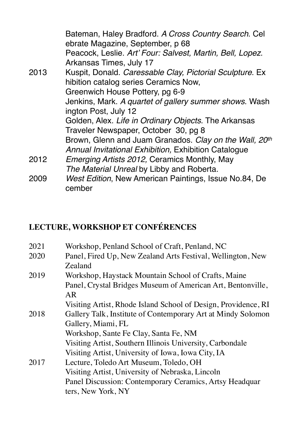|      | Bateman, Haley Bradford. A Cross Country Search. Cel<br>ebrate Magazine, September, p 68 |
|------|------------------------------------------------------------------------------------------|
|      | Peacock, Leslie. Art' Four: Salvest, Martin, Bell, Lopez.                                |
|      | Arkansas Times, July 17                                                                  |
| 2013 | Kuspit, Donald. Caressable Clay, Pictorial Sculpture. Ex                                 |
|      | hibition catalog series Ceramics Now,                                                    |
|      | Greenwich House Pottery, pg 6-9                                                          |
|      | Jenkins, Mark. A quartet of gallery summer shows. Wash                                   |
|      | ington Post, July 12                                                                     |
|      | Golden, Alex. Life in Ordinary Objects. The Arkansas                                     |
|      | Traveler Newspaper, October 30, pg 8                                                     |
|      | Brown, Glenn and Juam Granados. Clay on the Wall, 20th                                   |
|      | Annual Invitational Exhibition, Exhibition Catalogue                                     |
| 2012 | Emerging Artists 2012, Ceramics Monthly, May                                             |
|      | The Material Unreal by Libby and Roberta.                                                |
| 2009 | West Edition, New American Paintings, Issue No.84, De                                    |
|      | cember                                                                                   |

# **LECTURE, WORKSHOP ET CONFÉRENCES**

| 2021 | Workshop, Penland School of Craft, Penland, NC                 |
|------|----------------------------------------------------------------|
| 2020 | Panel, Fired Up, New Zealand Arts Festival, Wellington, New    |
|      | Zealand                                                        |
| 2019 | Workshop, Haystack Mountain School of Crafts, Maine            |
|      | Panel, Crystal Bridges Museum of American Art, Bentonville,    |
|      | AR                                                             |
|      | Visiting Artist, Rhode Island School of Design, Providence, RI |
| 2018 | Gallery Talk, Institute of Contemporary Art at Mindy Solomon   |
|      | Gallery, Miami, FL                                             |
|      | Workshop, Sante Fe Clay, Santa Fe, NM                          |
|      | Visiting Artist, Southern Illinois University, Carbondale      |
|      | Visiting Artist, University of Iowa, Iowa City, IA             |
| 2017 | Lecture, Toledo Art Museum, Toledo, OH                         |
|      | Visiting Artist, University of Nebraska, Lincoln               |
|      | Panel Discussion: Contemporary Ceramics, Artsy Headquar        |
|      | ters, New York, NY                                             |
|      |                                                                |